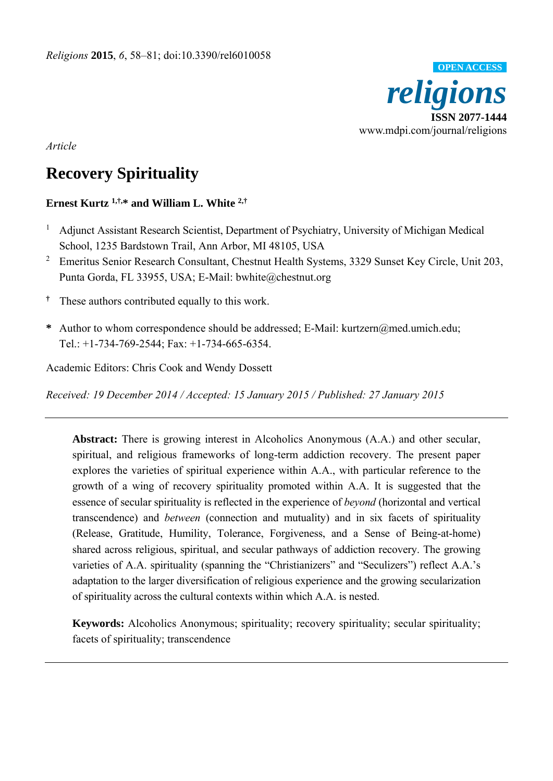

*Article* 

# **Recovery Spirituality**

# **Ernest Kurtz 1,†,\* and William L. White 2,†**

- 1 Adjunct Assistant Research Scientist, Department of Psychiatry, University of Michigan Medical School, 1235 Bardstown Trail, Ann Arbor, MI 48105, USA
- <sup>2</sup> Emeritus Senior Research Consultant, Chestnut Health Systems, 3329 Sunset Key Circle, Unit 203, Punta Gorda, FL 33955, USA; E-Mail: bwhite@chestnut.org
- **†** These authors contributed equally to this work.
- **\*** Author to whom correspondence should be addressed; E-Mail: kurtzern@med.umich.edu; Tel.: +1-734-769-2544; Fax: +1-734-665-6354.

Academic Editors: Chris Cook and Wendy Dossett

*Received: 19 December 2014 / Accepted: 15 January 2015 / Published: 27 January 2015* 

**Abstract:** There is growing interest in Alcoholics Anonymous (A.A.) and other secular, spiritual, and religious frameworks of long-term addiction recovery. The present paper explores the varieties of spiritual experience within A.A., with particular reference to the growth of a wing of recovery spirituality promoted within A.A. It is suggested that the essence of secular spirituality is reflected in the experience of *beyond* (horizontal and vertical transcendence) and *between* (connection and mutuality) and in six facets of spirituality (Release, Gratitude, Humility, Tolerance, Forgiveness, and a Sense of Being-at-home) shared across religious, spiritual, and secular pathways of addiction recovery. The growing varieties of A.A. spirituality (spanning the "Christianizers" and "Seculizers") reflect A.A.'s adaptation to the larger diversification of religious experience and the growing secularization of spirituality across the cultural contexts within which A.A. is nested.

**Keywords:** Alcoholics Anonymous; spirituality; recovery spirituality; secular spirituality; facets of spirituality; transcendence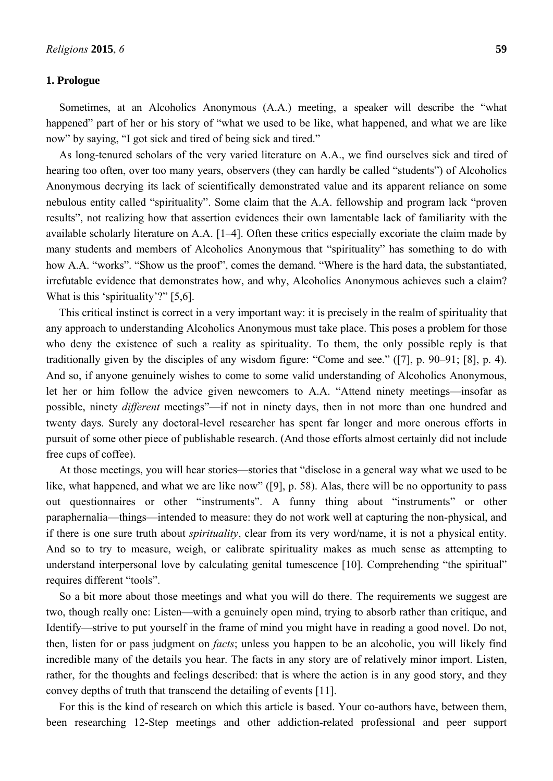# **1. Prologue**

Sometimes, at an Alcoholics Anonymous (A.A.) meeting, a speaker will describe the "what happened" part of her or his story of "what we used to be like, what happened, and what we are like now" by saying, "I got sick and tired of being sick and tired."

As long-tenured scholars of the very varied literature on A.A., we find ourselves sick and tired of hearing too often, over too many years, observers (they can hardly be called "students") of Alcoholics Anonymous decrying its lack of scientifically demonstrated value and its apparent reliance on some nebulous entity called "spirituality". Some claim that the A.A. fellowship and program lack "proven results", not realizing how that assertion evidences their own lamentable lack of familiarity with the available scholarly literature on A.A. [1–4]. Often these critics especially excoriate the claim made by many students and members of Alcoholics Anonymous that "spirituality" has something to do with how A.A. "works". "Show us the proof", comes the demand. "Where is the hard data, the substantiated, irrefutable evidence that demonstrates how, and why, Alcoholics Anonymous achieves such a claim? What is this 'spirituality'?" [5,6].

This critical instinct is correct in a very important way: it is precisely in the realm of spirituality that any approach to understanding Alcoholics Anonymous must take place. This poses a problem for those who deny the existence of such a reality as spirituality. To them, the only possible reply is that traditionally given by the disciples of any wisdom figure: "Come and see." ([7], p. 90–91; [8], p. 4). And so, if anyone genuinely wishes to come to some valid understanding of Alcoholics Anonymous, let her or him follow the advice given newcomers to A.A. "Attend ninety meetings—insofar as possible, ninety *different* meetings"—if not in ninety days, then in not more than one hundred and twenty days. Surely any doctoral-level researcher has spent far longer and more onerous efforts in pursuit of some other piece of publishable research. (And those efforts almost certainly did not include free cups of coffee).

At those meetings, you will hear stories—stories that "disclose in a general way what we used to be like, what happened, and what we are like now" ([9], p. 58). Alas, there will be no opportunity to pass out questionnaires or other "instruments". A funny thing about "instruments" or other paraphernalia—things—intended to measure: they do not work well at capturing the non-physical, and if there is one sure truth about *spirituality*, clear from its very word/name, it is not a physical entity. And so to try to measure, weigh, or calibrate spirituality makes as much sense as attempting to understand interpersonal love by calculating genital tumescence [10]. Comprehending "the spiritual" requires different "tools".

So a bit more about those meetings and what you will do there. The requirements we suggest are two, though really one: Listen—with a genuinely open mind, trying to absorb rather than critique, and Identify—strive to put yourself in the frame of mind you might have in reading a good novel. Do not, then, listen for or pass judgment on *facts*; unless you happen to be an alcoholic, you will likely find incredible many of the details you hear. The facts in any story are of relatively minor import. Listen, rather, for the thoughts and feelings described: that is where the action is in any good story, and they convey depths of truth that transcend the detailing of events [11].

For this is the kind of research on which this article is based. Your co-authors have, between them, been researching 12-Step meetings and other addiction-related professional and peer support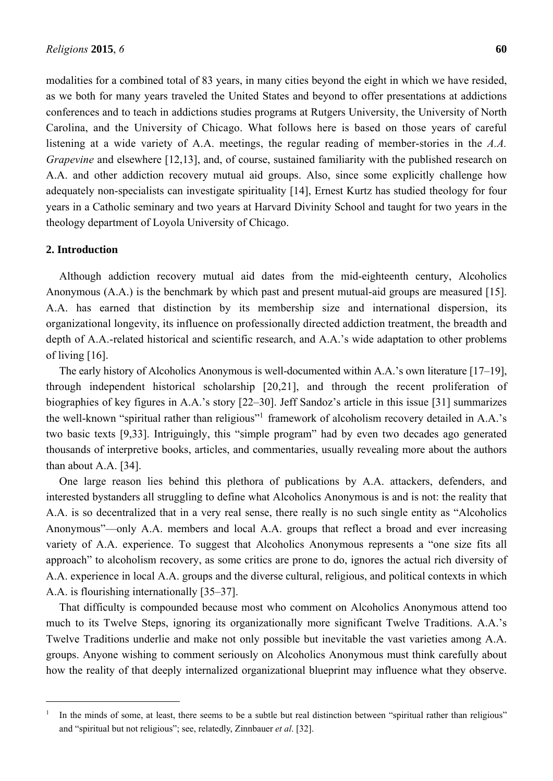modalities for a combined total of 83 years, in many cities beyond the eight in which we have resided, as we both for many years traveled the United States and beyond to offer presentations at addictions conferences and to teach in addictions studies programs at Rutgers University, the University of North Carolina, and the University of Chicago. What follows here is based on those years of careful listening at a wide variety of A.A. meetings, the regular reading of member-stories in the *A.A. Grapevine* and elsewhere [12,13], and, of course, sustained familiarity with the published research on A.A. and other addiction recovery mutual aid groups. Also, since some explicitly challenge how adequately non-specialists can investigate spirituality [14], Ernest Kurtz has studied theology for four years in a Catholic seminary and two years at Harvard Divinity School and taught for two years in the theology department of Loyola University of Chicago.

#### **2. Introduction**

 $\overline{a}$ 

Although addiction recovery mutual aid dates from the mid-eighteenth century, Alcoholics Anonymous (A.A.) is the benchmark by which past and present mutual-aid groups are measured [15]. A.A. has earned that distinction by its membership size and international dispersion, its organizational longevity, its influence on professionally directed addiction treatment, the breadth and depth of A.A.-related historical and scientific research, and A.A.'s wide adaptation to other problems of living [16].

The early history of Alcoholics Anonymous is well-documented within A.A.'s own literature [17–19], through independent historical scholarship [20,21], and through the recent proliferation of biographies of key figures in A.A.'s story [22–30]. Jeff Sandoz's article in this issue [31] summarizes the well-known "spiritual rather than religious"<sup>1</sup> framework of alcoholism recovery detailed in A.A.'s two basic texts [9,33]. Intriguingly, this "simple program" had by even two decades ago generated thousands of interpretive books, articles, and commentaries, usually revealing more about the authors than about A.A. [34].

One large reason lies behind this plethora of publications by A.A. attackers, defenders, and interested bystanders all struggling to define what Alcoholics Anonymous is and is not: the reality that A.A. is so decentralized that in a very real sense, there really is no such single entity as "Alcoholics Anonymous"—only A.A. members and local A.A. groups that reflect a broad and ever increasing variety of A.A. experience. To suggest that Alcoholics Anonymous represents a "one size fits all approach" to alcoholism recovery, as some critics are prone to do, ignores the actual rich diversity of A.A. experience in local A.A. groups and the diverse cultural, religious, and political contexts in which A.A. is flourishing internationally [35–37].

That difficulty is compounded because most who comment on Alcoholics Anonymous attend too much to its Twelve Steps, ignoring its organizationally more significant Twelve Traditions. A.A.'s Twelve Traditions underlie and make not only possible but inevitable the vast varieties among A.A. groups. Anyone wishing to comment seriously on Alcoholics Anonymous must think carefully about how the reality of that deeply internalized organizational blueprint may influence what they observe.

<sup>1</sup> In the minds of some, at least, there seems to be a subtle but real distinction between "spiritual rather than religious" and "spiritual but not religious"; see, relatedly, Zinnbauer *et al*. [32].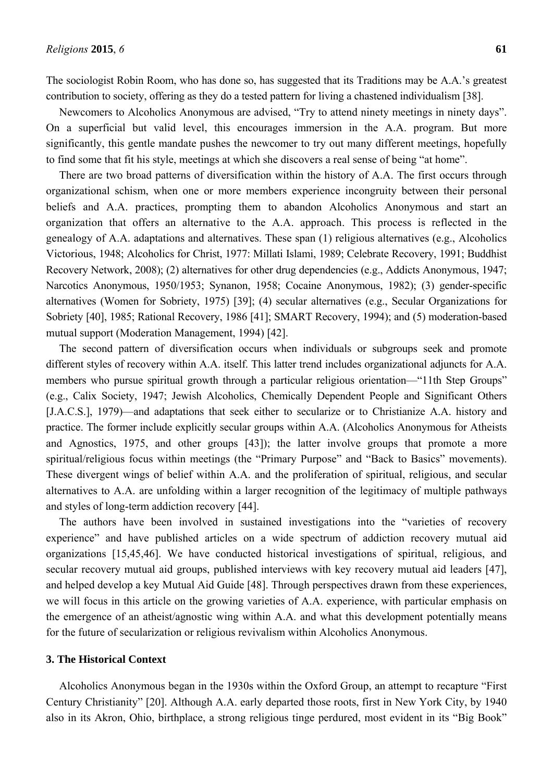The sociologist Robin Room, who has done so, has suggested that its Traditions may be A.A.'s greatest contribution to society, offering as they do a tested pattern for living a chastened individualism [38].

Newcomers to Alcoholics Anonymous are advised, "Try to attend ninety meetings in ninety days". On a superficial but valid level, this encourages immersion in the A.A. program. But more significantly, this gentle mandate pushes the newcomer to try out many different meetings, hopefully to find some that fit his style, meetings at which she discovers a real sense of being "at home".

There are two broad patterns of diversification within the history of A.A. The first occurs through organizational schism, when one or more members experience incongruity between their personal beliefs and A.A. practices, prompting them to abandon Alcoholics Anonymous and start an organization that offers an alternative to the A.A. approach. This process is reflected in the genealogy of A.A. adaptations and alternatives. These span (1) religious alternatives (e.g., Alcoholics Victorious, 1948; Alcoholics for Christ, 1977: Millati Islami, 1989; Celebrate Recovery, 1991; Buddhist Recovery Network, 2008); (2) alternatives for other drug dependencies (e.g., Addicts Anonymous, 1947; Narcotics Anonymous, 1950/1953; Synanon, 1958; Cocaine Anonymous, 1982); (3) gender-specific alternatives (Women for Sobriety, 1975) [39]; (4) secular alternatives (e.g., Secular Organizations for Sobriety [40], 1985; Rational Recovery, 1986 [41]; SMART Recovery, 1994); and (5) moderation-based mutual support (Moderation Management, 1994) [42].

The second pattern of diversification occurs when individuals or subgroups seek and promote different styles of recovery within A.A. itself. This latter trend includes organizational adjuncts for A.A. members who pursue spiritual growth through a particular religious orientation—"11th Step Groups" (e.g., Calix Society, 1947; Jewish Alcoholics, Chemically Dependent People and Significant Others [J.A.C.S.], 1979)—and adaptations that seek either to secularize or to Christianize A.A. history and practice. The former include explicitly secular groups within A.A. (Alcoholics Anonymous for Atheists and Agnostics, 1975, and other groups [43]); the latter involve groups that promote a more spiritual/religious focus within meetings (the "Primary Purpose" and "Back to Basics" movements). These divergent wings of belief within A.A. and the proliferation of spiritual, religious, and secular alternatives to A.A. are unfolding within a larger recognition of the legitimacy of multiple pathways and styles of long-term addiction recovery [44].

The authors have been involved in sustained investigations into the "varieties of recovery experience" and have published articles on a wide spectrum of addiction recovery mutual aid organizations [15,45,46]. We have conducted historical investigations of spiritual, religious, and secular recovery mutual aid groups, published interviews with key recovery mutual aid leaders [47], and helped develop a key Mutual Aid Guide [48]. Through perspectives drawn from these experiences, we will focus in this article on the growing varieties of A.A. experience, with particular emphasis on the emergence of an atheist/agnostic wing within A.A. and what this development potentially means for the future of secularization or religious revivalism within Alcoholics Anonymous.

#### **3. The Historical Context**

Alcoholics Anonymous began in the 1930s within the Oxford Group, an attempt to recapture "First Century Christianity" [20]. Although A.A. early departed those roots, first in New York City, by 1940 also in its Akron, Ohio, birthplace, a strong religious tinge perdured, most evident in its "Big Book"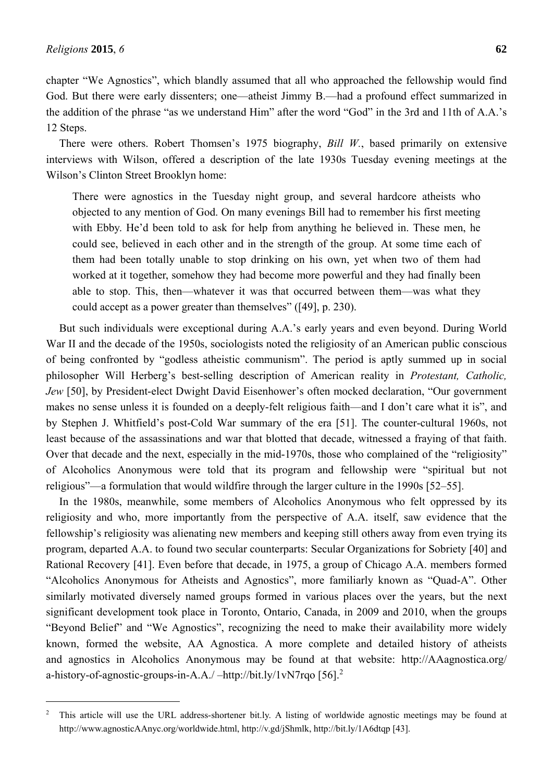$\overline{a}$ 

chapter "We Agnostics", which blandly assumed that all who approached the fellowship would find God. But there were early dissenters; one—atheist Jimmy B.—had a profound effect summarized in the addition of the phrase "as we understand Him" after the word "God" in the 3rd and 11th of A.A.'s 12 Steps.

There were others. Robert Thomsen's 1975 biography, *Bill W.*, based primarily on extensive interviews with Wilson, offered a description of the late 1930s Tuesday evening meetings at the Wilson's Clinton Street Brooklyn home:

There were agnostics in the Tuesday night group, and several hardcore atheists who objected to any mention of God. On many evenings Bill had to remember his first meeting with Ebby. He'd been told to ask for help from anything he believed in. These men, he could see, believed in each other and in the strength of the group. At some time each of them had been totally unable to stop drinking on his own, yet when two of them had worked at it together, somehow they had become more powerful and they had finally been able to stop. This, then—whatever it was that occurred between them—was what they could accept as a power greater than themselves" ([49], p. 230).

But such individuals were exceptional during A.A.'s early years and even beyond. During World War II and the decade of the 1950s, sociologists noted the religiosity of an American public conscious of being confronted by "godless atheistic communism". The period is aptly summed up in social philosopher Will Herberg's best-selling description of American reality in *Protestant, Catholic, Jew* [50], by President-elect Dwight David Eisenhower's often mocked declaration, "Our government makes no sense unless it is founded on a deeply-felt religious faith—and I don't care what it is", and by Stephen J. Whitfield's post-Cold War summary of the era [51]. The counter-cultural 1960s, not least because of the assassinations and war that blotted that decade, witnessed a fraying of that faith. Over that decade and the next, especially in the mid-1970s, those who complained of the "religiosity" of Alcoholics Anonymous were told that its program and fellowship were "spiritual but not religious"—a formulation that would wildfire through the larger culture in the 1990s [52–55].

In the 1980s, meanwhile, some members of Alcoholics Anonymous who felt oppressed by its religiosity and who, more importantly from the perspective of A.A. itself, saw evidence that the fellowship's religiosity was alienating new members and keeping still others away from even trying its program, departed A.A. to found two secular counterparts: Secular Organizations for Sobriety [40] and Rational Recovery [41]. Even before that decade, in 1975, a group of Chicago A.A. members formed "Alcoholics Anonymous for Atheists and Agnostics", more familiarly known as "Quad-A". Other similarly motivated diversely named groups formed in various places over the years, but the next significant development took place in Toronto, Ontario, Canada, in 2009 and 2010, when the groups "Beyond Belief" and "We Agnostics", recognizing the need to make their availability more widely known, formed the website, AA Agnostica. A more complete and detailed history of atheists and agnostics in Alcoholics Anonymous may be found at that website: http://AAagnostica.org/ a-history-of-agnostic-groups-in-A.A./ –http://bit.ly/1vN7rqo [56].<sup>2</sup>

<sup>&</sup>lt;sup>2</sup> This article will use the URL address-shortener bit.ly. A listing of worldwide agnostic meetings may be found at http://www.agnosticAAnyc.org/worldwide.html, http://v.gd/jShmlk, http://bit.ly/1A6dtqp [43].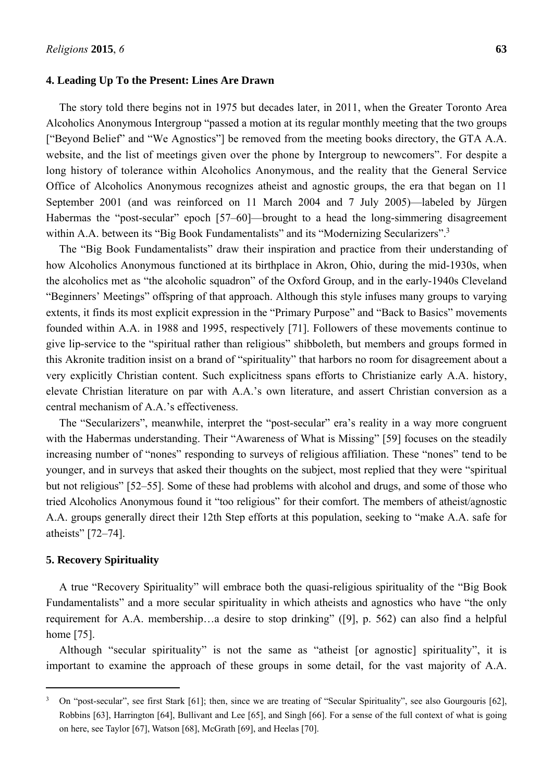#### **4. Leading Up To the Present: Lines Are Drawn**

The story told there begins not in 1975 but decades later, in 2011, when the Greater Toronto Area Alcoholics Anonymous Intergroup "passed a motion at its regular monthly meeting that the two groups ["Beyond Belief" and "We Agnostics"] be removed from the meeting books directory, the GTA A.A. website, and the list of meetings given over the phone by Intergroup to newcomers". For despite a long history of tolerance within Alcoholics Anonymous, and the reality that the General Service Office of Alcoholics Anonymous recognizes atheist and agnostic groups, the era that began on 11 September 2001 (and was reinforced on 11 March 2004 and 7 July 2005)—labeled by Jürgen Habermas the "post-secular" epoch [57–60]—brought to a head the long-simmering disagreement within A.A. between its "Big Book Fundamentalists" and its "Modernizing Secularizers".<sup>3</sup>

The "Big Book Fundamentalists" draw their inspiration and practice from their understanding of how Alcoholics Anonymous functioned at its birthplace in Akron, Ohio, during the mid-1930s, when the alcoholics met as "the alcoholic squadron" of the Oxford Group, and in the early-1940s Cleveland "Beginners' Meetings" offspring of that approach. Although this style infuses many groups to varying extents, it finds its most explicit expression in the "Primary Purpose" and "Back to Basics" movements founded within A.A. in 1988 and 1995, respectively [71]. Followers of these movements continue to give lip-service to the "spiritual rather than religious" shibboleth, but members and groups formed in this Akronite tradition insist on a brand of "spirituality" that harbors no room for disagreement about a very explicitly Christian content. Such explicitness spans efforts to Christianize early A.A. history, elevate Christian literature on par with A.A.'s own literature, and assert Christian conversion as a central mechanism of A.A.'s effectiveness.

The "Secularizers", meanwhile, interpret the "post-secular" era's reality in a way more congruent with the Habermas understanding. Their "Awareness of What is Missing" [59] focuses on the steadily increasing number of "nones" responding to surveys of religious affiliation. These "nones" tend to be younger, and in surveys that asked their thoughts on the subject, most replied that they were "spiritual but not religious" [52–55]. Some of these had problems with alcohol and drugs, and some of those who tried Alcoholics Anonymous found it "too religious" for their comfort. The members of atheist/agnostic A.A. groups generally direct their 12th Step efforts at this population, seeking to "make A.A. safe for atheists" [72–74].

#### **5. Recovery Spirituality**

 $\overline{a}$ 

A true "Recovery Spirituality" will embrace both the quasi-religious spirituality of the "Big Book Fundamentalists" and a more secular spirituality in which atheists and agnostics who have "the only requirement for A.A. membership…a desire to stop drinking" ([9], p. 562) can also find a helpful home [75].

Although "secular spirituality" is not the same as "atheist [or agnostic] spirituality", it is important to examine the approach of these groups in some detail, for the vast majority of A.A.

 $3$  On "post-secular", see first Stark [61]; then, since we are treating of "Secular Spirituality", see also Gourgouris [62], Robbins [63], Harrington [64], Bullivant and Lee [65], and Singh [66]. For a sense of the full context of what is going on here, see Taylor [67], Watson [68], McGrath [69], and Heelas [70].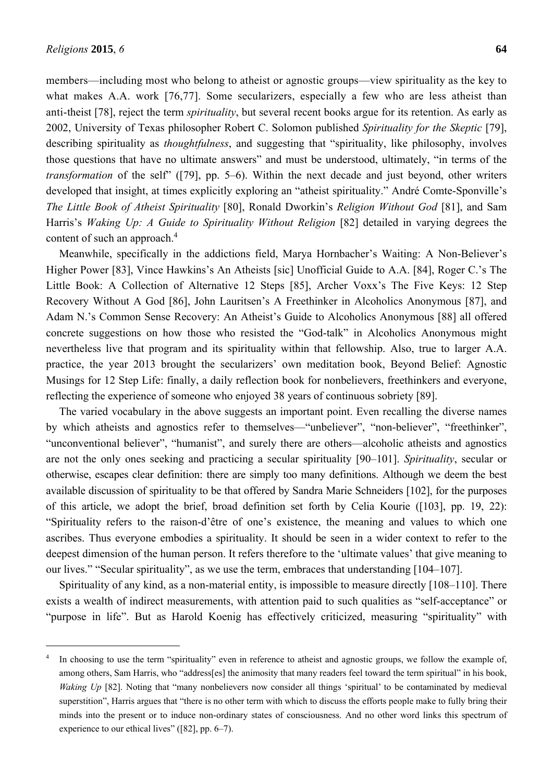$\overline{a}$ 

members—including most who belong to atheist or agnostic groups—view spirituality as the key to what makes A.A. work [76,77]. Some secularizers, especially a few who are less atheist than anti-theist [78], reject the term *spirituality*, but several recent books argue for its retention. As early as 2002, University of Texas philosopher Robert C. Solomon published *Spirituality for the Skeptic* [79], describing spirituality as *thoughtfulness*, and suggesting that "spirituality, like philosophy, involves those questions that have no ultimate answers" and must be understood, ultimately, "in terms of the *transformation* of the self" ([79], pp. 5–6). Within the next decade and just beyond, other writers developed that insight, at times explicitly exploring an "atheist spirituality." André Comte-Sponville's *The Little Book of Atheist Spirituality* [80], Ronald Dworkin's *Religion Without God* [81], and Sam Harris's *Waking Up: A Guide to Spirituality Without Religion* [82] detailed in varying degrees the content of such an approach.<sup>4</sup>

Meanwhile, specifically in the addictions field, Marya Hornbacher's Waiting: A Non-Believer's Higher Power [83], Vince Hawkins's An Atheists [sic] Unofficial Guide to A.A. [84], Roger C.'s The Little Book: A Collection of Alternative 12 Steps [85], Archer Voxx's The Five Keys: 12 Step Recovery Without A God [86], John Lauritsen's A Freethinker in Alcoholics Anonymous [87], and Adam N.'s Common Sense Recovery: An Atheist's Guide to Alcoholics Anonymous [88] all offered concrete suggestions on how those who resisted the "God-talk" in Alcoholics Anonymous might nevertheless live that program and its spirituality within that fellowship. Also, true to larger A.A. practice, the year 2013 brought the secularizers' own meditation book, Beyond Belief: Agnostic Musings for 12 Step Life: finally, a daily reflection book for nonbelievers, freethinkers and everyone, reflecting the experience of someone who enjoyed 38 years of continuous sobriety [89].

The varied vocabulary in the above suggests an important point. Even recalling the diverse names by which atheists and agnostics refer to themselves—"unbeliever", "non-believer", "freethinker", "unconventional believer", "humanist", and surely there are others—alcoholic atheists and agnostics are not the only ones seeking and practicing a secular spirituality [90–101]. *Spirituality*, secular or otherwise, escapes clear definition: there are simply too many definitions. Although we deem the best available discussion of spirituality to be that offered by Sandra Marie Schneiders [102], for the purposes of this article, we adopt the brief, broad definition set forth by Celia Kourie ([103], pp. 19, 22): "Spirituality refers to the raison-d'être of one's existence, the meaning and values to which one ascribes. Thus everyone embodies a spirituality. It should be seen in a wider context to refer to the deepest dimension of the human person. It refers therefore to the 'ultimate values' that give meaning to our lives." "Secular spirituality", as we use the term, embraces that understanding [104–107].

Spirituality of any kind, as a non-material entity, is impossible to measure directly [108–110]. There exists a wealth of indirect measurements, with attention paid to such qualities as "self-acceptance" or "purpose in life". But as Harold Koenig has effectively criticized, measuring "spirituality" with

<sup>4</sup> In choosing to use the term "spirituality" even in reference to atheist and agnostic groups, we follow the example of, among others, Sam Harris, who "address[es] the animosity that many readers feel toward the term spiritual" in his book, *Waking Up* [82]. Noting that "many nonbelievers now consider all things 'spiritual' to be contaminated by medieval superstition", Harris argues that "there is no other term with which to discuss the efforts people make to fully bring their minds into the present or to induce non-ordinary states of consciousness. And no other word links this spectrum of experience to our ethical lives" ([82], pp. 6–7).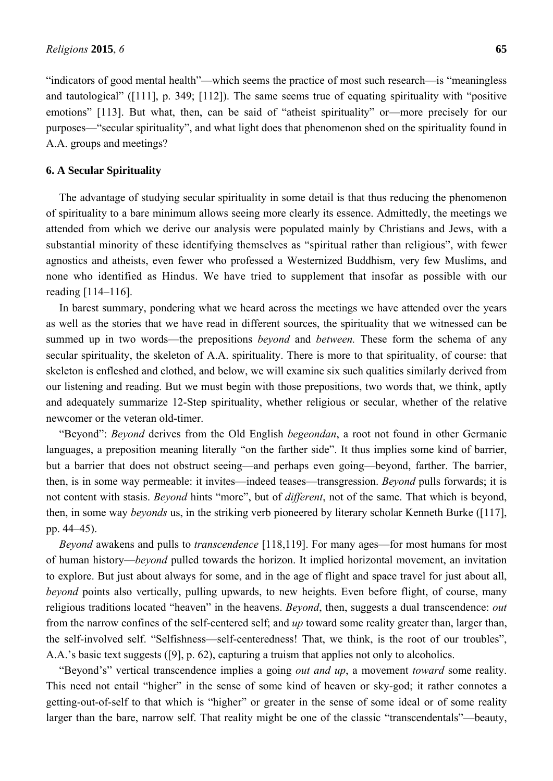"indicators of good mental health"—which seems the practice of most such research—is "meaningless and tautological" ([111], p. 349; [112]). The same seems true of equating spirituality with "positive emotions" [113]. But what, then, can be said of "atheist spirituality" or—more precisely for our purposes—"secular spirituality", and what light does that phenomenon shed on the spirituality found in A.A. groups and meetings?

#### **6. A Secular Spirituality**

The advantage of studying secular spirituality in some detail is that thus reducing the phenomenon of spirituality to a bare minimum allows seeing more clearly its essence. Admittedly, the meetings we attended from which we derive our analysis were populated mainly by Christians and Jews, with a substantial minority of these identifying themselves as "spiritual rather than religious", with fewer agnostics and atheists, even fewer who professed a Westernized Buddhism, very few Muslims, and none who identified as Hindus. We have tried to supplement that insofar as possible with our reading [114–116].

In barest summary, pondering what we heard across the meetings we have attended over the years as well as the stories that we have read in different sources, the spirituality that we witnessed can be summed up in two words—the prepositions *beyond* and *between.* These form the schema of any secular spirituality, the skeleton of A.A. spirituality. There is more to that spirituality, of course: that skeleton is enfleshed and clothed, and below, we will examine six such qualities similarly derived from our listening and reading. But we must begin with those prepositions, two words that, we think, aptly and adequately summarize 12-Step spirituality, whether religious or secular, whether of the relative newcomer or the veteran old-timer.

"Beyond": *Beyond* derives from the Old English *begeondan*, a root not found in other Germanic languages, a preposition meaning literally "on the farther side". It thus implies some kind of barrier, but a barrier that does not obstruct seeing—and perhaps even going—beyond, farther. The barrier, then, is in some way permeable: it invites—indeed teases—transgression. *Beyond* pulls forwards; it is not content with stasis. *Beyond* hints "more", but of *different*, not of the same. That which is beyond, then, in some way *beyonds* us, in the striking verb pioneered by literary scholar Kenneth Burke ([117], pp. 44–45).

*Beyond* awakens and pulls to *transcendence* [118,119]. For many ages—for most humans for most of human history—*beyond* pulled towards the horizon. It implied horizontal movement, an invitation to explore. But just about always for some, and in the age of flight and space travel for just about all, *beyond* points also vertically, pulling upwards, to new heights. Even before flight, of course, many religious traditions located "heaven" in the heavens. *Beyond*, then, suggests a dual transcendence: *out* from the narrow confines of the self-centered self; and *up* toward some reality greater than, larger than, the self-involved self. "Selfishness—self-centeredness! That, we think, is the root of our troubles", A.A.'s basic text suggests ([9], p. 62), capturing a truism that applies not only to alcoholics.

"Beyond's" vertical transcendence implies a going *out and up*, a movement *toward* some reality. This need not entail "higher" in the sense of some kind of heaven or sky-god; it rather connotes a getting-out-of-self to that which is "higher" or greater in the sense of some ideal or of some reality larger than the bare, narrow self. That reality might be one of the classic "transcendentals"—beauty,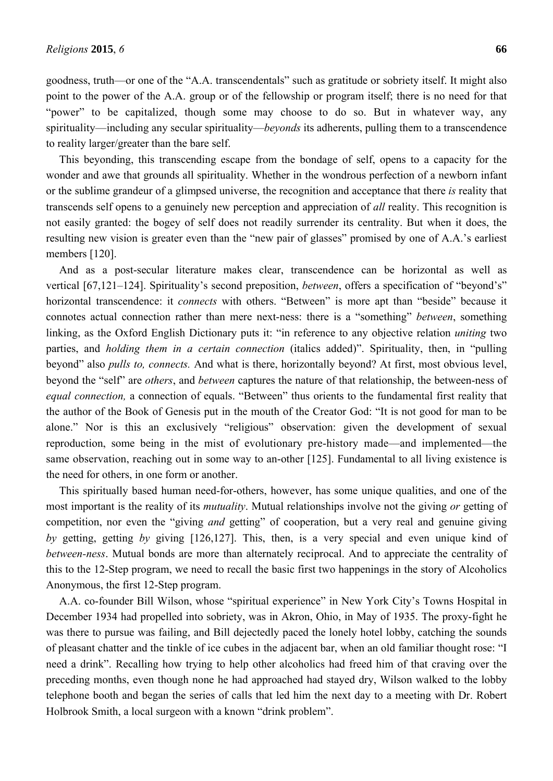goodness, truth—or one of the "A.A. transcendentals" such as gratitude or sobriety itself. It might also point to the power of the A.A. group or of the fellowship or program itself; there is no need for that "power" to be capitalized, though some may choose to do so. But in whatever way, any spirituality—including any secular spirituality—*beyonds* its adherents, pulling them to a transcendence to reality larger/greater than the bare self.

This beyonding, this transcending escape from the bondage of self, opens to a capacity for the wonder and awe that grounds all spirituality. Whether in the wondrous perfection of a newborn infant or the sublime grandeur of a glimpsed universe, the recognition and acceptance that there *is* reality that transcends self opens to a genuinely new perception and appreciation of *all* reality. This recognition is not easily granted: the bogey of self does not readily surrender its centrality. But when it does, the resulting new vision is greater even than the "new pair of glasses" promised by one of A.A.'s earliest members [120].

And as a post-secular literature makes clear, transcendence can be horizontal as well as vertical [67,121–124]. Spirituality's second preposition, *between*, offers a specification of "beyond's" horizontal transcendence: it *connects* with others. "Between" is more apt than "beside" because it connotes actual connection rather than mere next-ness: there is a "something" *between*, something linking, as the Oxford English Dictionary puts it: "in reference to any objective relation *uniting* two parties, and *holding them in a certain connection* (italics added)". Spirituality, then, in "pulling beyond" also *pulls to, connects.* And what is there, horizontally beyond? At first, most obvious level, beyond the "self" are *others*, and *between* captures the nature of that relationship, the between-ness of *equal connection,* a connection of equals. "Between" thus orients to the fundamental first reality that the author of the Book of Genesis put in the mouth of the Creator God: "It is not good for man to be alone." Nor is this an exclusively "religious" observation: given the development of sexual reproduction, some being in the mist of evolutionary pre-history made—and implemented—the same observation, reaching out in some way to an-other [125]. Fundamental to all living existence is the need for others, in one form or another.

This spiritually based human need-for-others, however, has some unique qualities, and one of the most important is the reality of its *mutuality*. Mutual relationships involve not the giving *or* getting of competition, nor even the "giving *and* getting" of cooperation, but a very real and genuine giving *by* getting, getting *by* giving [126,127]. This, then, is a very special and even unique kind of *between-ness*. Mutual bonds are more than alternately reciprocal. And to appreciate the centrality of this to the 12-Step program, we need to recall the basic first two happenings in the story of Alcoholics Anonymous, the first 12-Step program.

A.A. co-founder Bill Wilson, whose "spiritual experience" in New York City's Towns Hospital in December 1934 had propelled into sobriety, was in Akron, Ohio, in May of 1935. The proxy-fight he was there to pursue was failing, and Bill dejectedly paced the lonely hotel lobby, catching the sounds of pleasant chatter and the tinkle of ice cubes in the adjacent bar, when an old familiar thought rose: "I need a drink". Recalling how trying to help other alcoholics had freed him of that craving over the preceding months, even though none he had approached had stayed dry, Wilson walked to the lobby telephone booth and began the series of calls that led him the next day to a meeting with Dr. Robert Holbrook Smith, a local surgeon with a known "drink problem".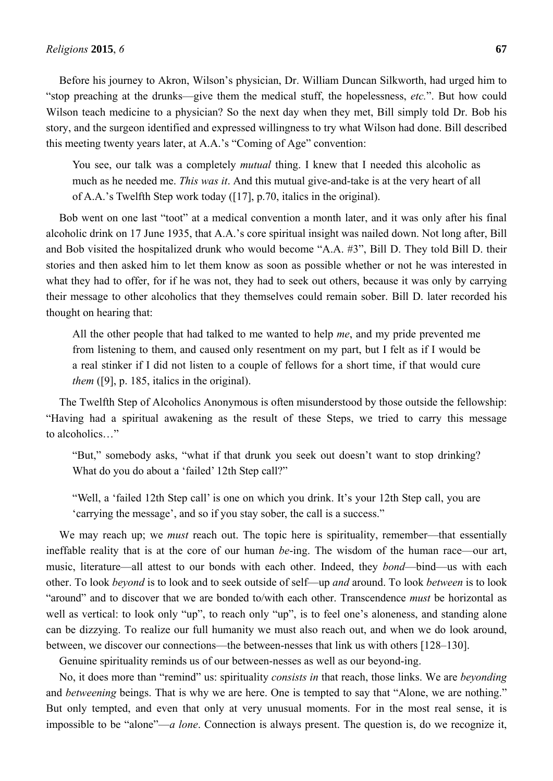Before his journey to Akron, Wilson's physician, Dr. William Duncan Silkworth, had urged him to "stop preaching at the drunks—give them the medical stuff, the hopelessness, *etc.*". But how could Wilson teach medicine to a physician? So the next day when they met, Bill simply told Dr. Bob his story, and the surgeon identified and expressed willingness to try what Wilson had done. Bill described this meeting twenty years later, at A.A.'s "Coming of Age" convention:

You see, our talk was a completely *mutual* thing. I knew that I needed this alcoholic as much as he needed me. *This was it*. And this mutual give-and-take is at the very heart of all of A.A.'s Twelfth Step work today ([17], p.70, italics in the original).

Bob went on one last "toot" at a medical convention a month later, and it was only after his final alcoholic drink on 17 June 1935, that A.A.'s core spiritual insight was nailed down. Not long after, Bill and Bob visited the hospitalized drunk who would become "A.A. #3", Bill D. They told Bill D. their stories and then asked him to let them know as soon as possible whether or not he was interested in what they had to offer, for if he was not, they had to seek out others, because it was only by carrying their message to other alcoholics that they themselves could remain sober. Bill D. later recorded his thought on hearing that:

All the other people that had talked to me wanted to help *me*, and my pride prevented me from listening to them, and caused only resentment on my part, but I felt as if I would be a real stinker if I did not listen to a couple of fellows for a short time, if that would cure *them* ([9], p. 185, italics in the original).

The Twelfth Step of Alcoholics Anonymous is often misunderstood by those outside the fellowship: "Having had a spiritual awakening as the result of these Steps, we tried to carry this message to alcoholics…"

"But," somebody asks, "what if that drunk you seek out doesn't want to stop drinking? What do you do about a 'failed' 12th Step call?"

"Well, a 'failed 12th Step call' is one on which you drink. It's your 12th Step call, you are 'carrying the message', and so if you stay sober, the call is a success."

We may reach up; we *must* reach out. The topic here is spirituality, remember—that essentially ineffable reality that is at the core of our human *be*-ing. The wisdom of the human race—our art, music, literature—all attest to our bonds with each other. Indeed, they *bond*—bind—us with each other. To look *beyond* is to look and to seek outside of self—up *and* around. To look *between* is to look "around" and to discover that we are bonded to/with each other. Transcendence *must* be horizontal as well as vertical: to look only "up", to reach only "up", is to feel one's aloneness, and standing alone can be dizzying. To realize our full humanity we must also reach out, and when we do look around, between, we discover our connections—the between-nesses that link us with others [128–130].

Genuine spirituality reminds us of our between-nesses as well as our beyond-ing.

No, it does more than "remind" us: spirituality *consists in* that reach, those links. We are *beyonding* and *betweening* beings. That is why we are here. One is tempted to say that "Alone, we are nothing." But only tempted, and even that only at very unusual moments. For in the most real sense, it is impossible to be "alone"—*a lone*. Connection is always present. The question is, do we recognize it,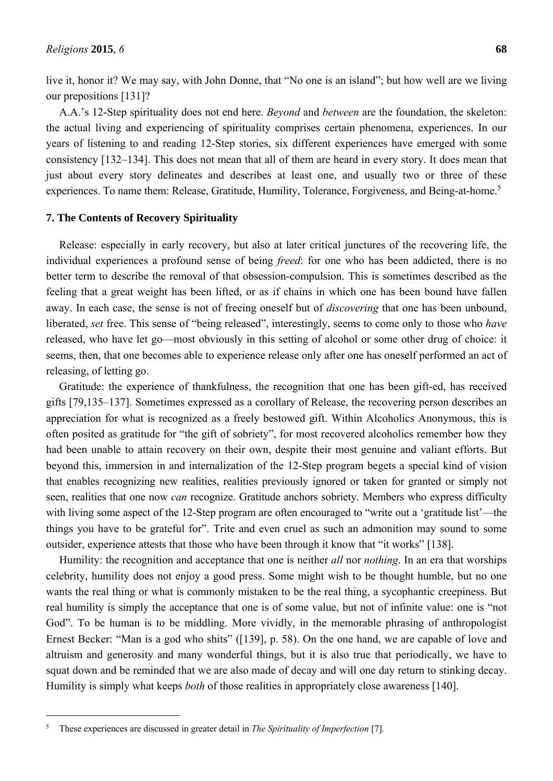live it, honor it? We may say, with John Donne, that "No one is an island"; but how well are we living our prepositions [131]?

A.A.'s 12-Step spirituality does not end here. *Beyond* and *between* are the foundation, the skeleton: the actual living and experiencing of spirituality comprises certain phenomena, experiences. In our years of listening to and reading 12-Step stories, six different experiences have emerged with some consistency [132–134]. This does not mean that all of them are heard in every story. It does mean that just about every story delineates and describes at least one, and usually two or three of these experiences. To name them: Release, Gratitude, Humility, Tolerance, Forgiveness, and Being-at-home.<sup>5</sup>

### **7. The Contents of Recovery Spirituality**

Release: especially in early recovery, but also at later critical junctures of the recovering life, the individual experiences a profound sense of being *freed*: for one who has been addicted, there is no better term to describe the removal of that obsession-compulsion. This is sometimes described as the feeling that a great weight has been lifted, or as if chains in which one has been bound have fallen away. In each case, the sense is not of freeing oneself but of *discovering* that one has been unbound, liberated, *set* free. This sense of "being released", interestingly, seems to come only to those who *have* released, who have let go—most obviously in this setting of alcohol or some other drug of choice: it seems, then, that one becomes able to experience release only after one has oneself performed an act of releasing, of letting go.

Gratitude: the experience of thankfulness, the recognition that one has been gift-ed, has received gifts [79,135–137]. Sometimes expressed as a corollary of Release, the recovering person describes an appreciation for what is recognized as a freely bestowed gift. Within Alcoholics Anonymous, this is often posited as gratitude for "the gift of sobriety", for most recovered alcoholics remember how they had been unable to attain recovery on their own, despite their most genuine and valiant efforts. But beyond this, immersion in and internalization of the 12-Step program begets a special kind of vision that enables recognizing new realities, realities previously ignored or taken for granted or simply not seen, realities that one now *can* recognize. Gratitude anchors sobriety. Members who express difficulty with living some aspect of the 12-Step program are often encouraged to "write out a 'gratitude list'—the things you have to be grateful for". Trite and even cruel as such an admonition may sound to some outsider, experience attests that those who have been through it know that "it works" [138].

Humility: the recognition and acceptance that one is neither *all* nor *nothing*. In an era that worships celebrity, humility does not enjoy a good press. Some might wish to be thought humble, but no one wants the real thing or what is commonly mistaken to be the real thing, a sycophantic creepiness. But real humility is simply the acceptance that one is of some value, but not of infinite value: one is "not God". To be human is to be middling. More vividly, in the memorable phrasing of anthropologist Ernest Becker: "Man is a god who shits" ([139], p. 58). On the one hand, we are capable of love and altruism and generosity and many wonderful things, but it is also true that periodically, we have to squat down and be reminded that we are also made of decay and will one day return to stinking decay. Humility is simply what keeps *both* of those realities in appropriately close awareness [140].

 $\overline{a}$ 

<sup>5</sup> These experiences are discussed in greater detail in *The Spirituality of Imperfection* [7]*.*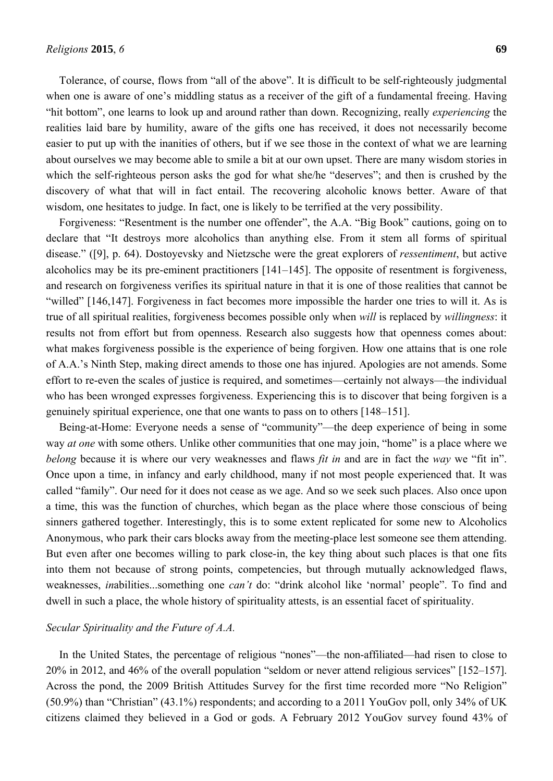Tolerance, of course, flows from "all of the above". It is difficult to be self-righteously judgmental when one is aware of one's middling status as a receiver of the gift of a fundamental freeing. Having "hit bottom", one learns to look up and around rather than down. Recognizing, really *experiencing* the realities laid bare by humility, aware of the gifts one has received, it does not necessarily become easier to put up with the inanities of others, but if we see those in the context of what we are learning about ourselves we may become able to smile a bit at our own upset. There are many wisdom stories in which the self-righteous person asks the god for what she/he "deserves"; and then is crushed by the discovery of what that will in fact entail. The recovering alcoholic knows better. Aware of that wisdom, one hesitates to judge. In fact, one is likely to be terrified at the very possibility.

Forgiveness: "Resentment is the number one offender", the A.A. "Big Book" cautions, going on to declare that "It destroys more alcoholics than anything else. From it stem all forms of spiritual disease." ([9], p. 64). Dostoyevsky and Nietzsche were the great explorers of *ressentiment*, but active alcoholics may be its pre-eminent practitioners [141–145]. The opposite of resentment is forgiveness, and research on forgiveness verifies its spiritual nature in that it is one of those realities that cannot be "willed" [146,147]. Forgiveness in fact becomes more impossible the harder one tries to will it. As is true of all spiritual realities, forgiveness becomes possible only when *will* is replaced by *willingness*: it results not from effort but from openness. Research also suggests how that openness comes about: what makes forgiveness possible is the experience of being forgiven. How one attains that is one role of A.A.'s Ninth Step, making direct amends to those one has injured. Apologies are not amends. Some effort to re-even the scales of justice is required, and sometimes—certainly not always—the individual who has been wronged expresses forgiveness. Experiencing this is to discover that being forgiven is a genuinely spiritual experience, one that one wants to pass on to others [148–151].

Being-at-Home: Everyone needs a sense of "community"—the deep experience of being in some way *at one* with some others. Unlike other communities that one may join, "home" is a place where we *belong* because it is where our very weaknesses and flaws *fit in* and are in fact the *way* we "fit in". Once upon a time, in infancy and early childhood, many if not most people experienced that. It was called "family". Our need for it does not cease as we age. And so we seek such places. Also once upon a time, this was the function of churches, which began as the place where those conscious of being sinners gathered together. Interestingly, this is to some extent replicated for some new to Alcoholics Anonymous, who park their cars blocks away from the meeting-place lest someone see them attending. But even after one becomes willing to park close-in, the key thing about such places is that one fits into them not because of strong points, competencies, but through mutually acknowledged flaws, weaknesses, *in*abilities...something one *can't* do: "drink alcohol like 'normal' people". To find and dwell in such a place, the whole history of spirituality attests, is an essential facet of spirituality.

#### *Secular Spirituality and the Future of A.A.*

In the United States, the percentage of religious "nones"—the non-affiliated—had risen to close to 20% in 2012, and 46% of the overall population "seldom or never attend religious services" [152–157]. Across the pond, the 2009 British Attitudes Survey for the first time recorded more "No Religion" (50.9%) than "Christian" (43.1%) respondents; and according to a 2011 YouGov poll, only 34% of UK citizens claimed they believed in a God or gods. A February 2012 YouGov survey found 43% of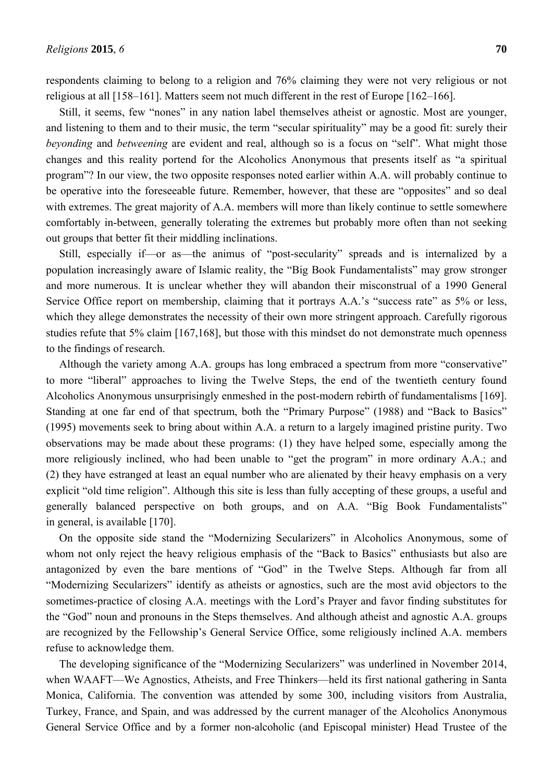respondents claiming to belong to a religion and 76% claiming they were not very religious or not religious at all [158–161]. Matters seem not much different in the rest of Europe [162–166].

Still, it seems, few "nones" in any nation label themselves atheist or agnostic. Most are younger, and listening to them and to their music, the term "secular spirituality" may be a good fit: surely their *beyonding* and *betweening* are evident and real, although so is a focus on "self". What might those changes and this reality portend for the Alcoholics Anonymous that presents itself as "a spiritual program"? In our view, the two opposite responses noted earlier within A.A. will probably continue to be operative into the foreseeable future. Remember, however, that these are "opposites" and so deal with extremes. The great majority of A.A. members will more than likely continue to settle somewhere comfortably in-between, generally tolerating the extremes but probably more often than not seeking out groups that better fit their middling inclinations.

Still, especially if—or as—the animus of "post-secularity" spreads and is internalized by a population increasingly aware of Islamic reality, the "Big Book Fundamentalists" may grow stronger and more numerous. It is unclear whether they will abandon their misconstrual of a 1990 General Service Office report on membership, claiming that it portrays A.A.'s "success rate" as 5% or less, which they allege demonstrates the necessity of their own more stringent approach. Carefully rigorous studies refute that 5% claim [167,168], but those with this mindset do not demonstrate much openness to the findings of research.

Although the variety among A.A. groups has long embraced a spectrum from more "conservative" to more "liberal" approaches to living the Twelve Steps, the end of the twentieth century found Alcoholics Anonymous unsurprisingly enmeshed in the post-modern rebirth of fundamentalisms [169]. Standing at one far end of that spectrum, both the "Primary Purpose" (1988) and "Back to Basics" (1995) movements seek to bring about within A.A. a return to a largely imagined pristine purity. Two observations may be made about these programs: (1) they have helped some, especially among the more religiously inclined, who had been unable to "get the program" in more ordinary A.A.; and (2) they have estranged at least an equal number who are alienated by their heavy emphasis on a very explicit "old time religion". Although this site is less than fully accepting of these groups, a useful and generally balanced perspective on both groups, and on A.A. "Big Book Fundamentalists" in general, is available [170].

On the opposite side stand the "Modernizing Secularizers" in Alcoholics Anonymous, some of whom not only reject the heavy religious emphasis of the "Back to Basics" enthusiasts but also are antagonized by even the bare mentions of "God" in the Twelve Steps. Although far from all "Modernizing Secularizers" identify as atheists or agnostics, such are the most avid objectors to the sometimes-practice of closing A.A. meetings with the Lord's Prayer and favor finding substitutes for the "God" noun and pronouns in the Steps themselves. And although atheist and agnostic A.A. groups are recognized by the Fellowship's General Service Office, some religiously inclined A.A. members refuse to acknowledge them.

The developing significance of the "Modernizing Secularizers" was underlined in November 2014, when WAAFT—We Agnostics, Atheists, and Free Thinkers—held its first national gathering in Santa Monica, California. The convention was attended by some 300, including visitors from Australia, Turkey, France, and Spain, and was addressed by the current manager of the Alcoholics Anonymous General Service Office and by a former non-alcoholic (and Episcopal minister) Head Trustee of the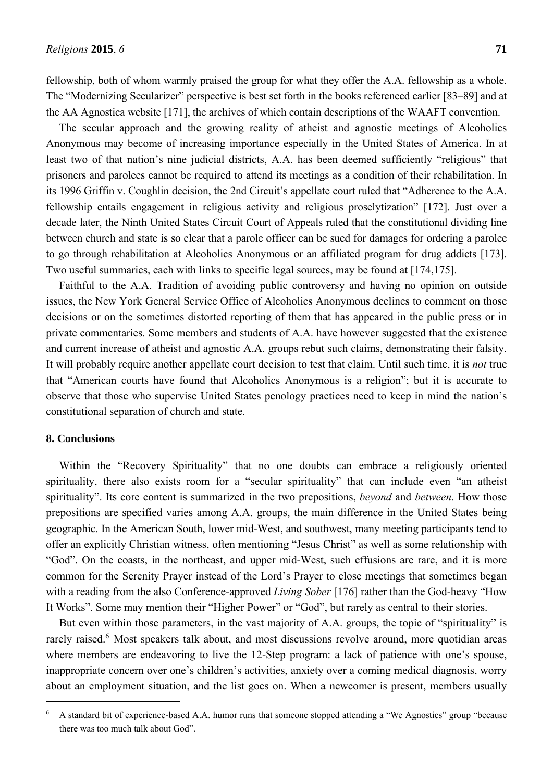fellowship, both of whom warmly praised the group for what they offer the A.A. fellowship as a whole. The "Modernizing Secularizer" perspective is best set forth in the books referenced earlier [83–89] and at the AA Agnostica website [171], the archives of which contain descriptions of the WAAFT convention.

The secular approach and the growing reality of atheist and agnostic meetings of Alcoholics Anonymous may become of increasing importance especially in the United States of America. In at least two of that nation's nine judicial districts, A.A. has been deemed sufficiently "religious" that prisoners and parolees cannot be required to attend its meetings as a condition of their rehabilitation. In its 1996 Griffin v. Coughlin decision, the 2nd Circuit's appellate court ruled that "Adherence to the A.A. fellowship entails engagement in religious activity and religious proselytization" [172]. Just over a decade later, the Ninth United States Circuit Court of Appeals ruled that the constitutional dividing line between church and state is so clear that a parole officer can be sued for damages for ordering a parolee to go through rehabilitation at Alcoholics Anonymous or an affiliated program for drug addicts [173]. Two useful summaries, each with links to specific legal sources, may be found at [174,175].

Faithful to the A.A. Tradition of avoiding public controversy and having no opinion on outside issues, the New York General Service Office of Alcoholics Anonymous declines to comment on those decisions or on the sometimes distorted reporting of them that has appeared in the public press or in private commentaries. Some members and students of A.A. have however suggested that the existence and current increase of atheist and agnostic A.A. groups rebut such claims, demonstrating their falsity. It will probably require another appellate court decision to test that claim. Until such time, it is *not* true that "American courts have found that Alcoholics Anonymous is a religion"; but it is accurate to observe that those who supervise United States penology practices need to keep in mind the nation's constitutional separation of church and state.

# **8. Conclusions**

 $\overline{a}$ 

Within the "Recovery Spirituality" that no one doubts can embrace a religiously oriented spirituality, there also exists room for a "secular spirituality" that can include even "an atheist spirituality". Its core content is summarized in the two prepositions, *beyond* and *between*. How those prepositions are specified varies among A.A. groups, the main difference in the United States being geographic. In the American South, lower mid-West, and southwest, many meeting participants tend to offer an explicitly Christian witness, often mentioning "Jesus Christ" as well as some relationship with "God". On the coasts, in the northeast, and upper mid-West, such effusions are rare, and it is more common for the Serenity Prayer instead of the Lord's Prayer to close meetings that sometimes began with a reading from the also Conference-approved *Living Sober* [176] rather than the God-heavy "How It Works". Some may mention their "Higher Power" or "God", but rarely as central to their stories.

But even within those parameters, in the vast majority of A.A. groups, the topic of "spirituality" is rarely raised.<sup>6</sup> Most speakers talk about, and most discussions revolve around, more quotidian areas where members are endeavoring to live the 12-Step program: a lack of patience with one's spouse, inappropriate concern over one's children's activities, anxiety over a coming medical diagnosis, worry about an employment situation, and the list goes on. When a newcomer is present, members usually

<sup>6</sup> A standard bit of experience-based A.A. humor runs that someone stopped attending a "We Agnostics" group "because there was too much talk about God".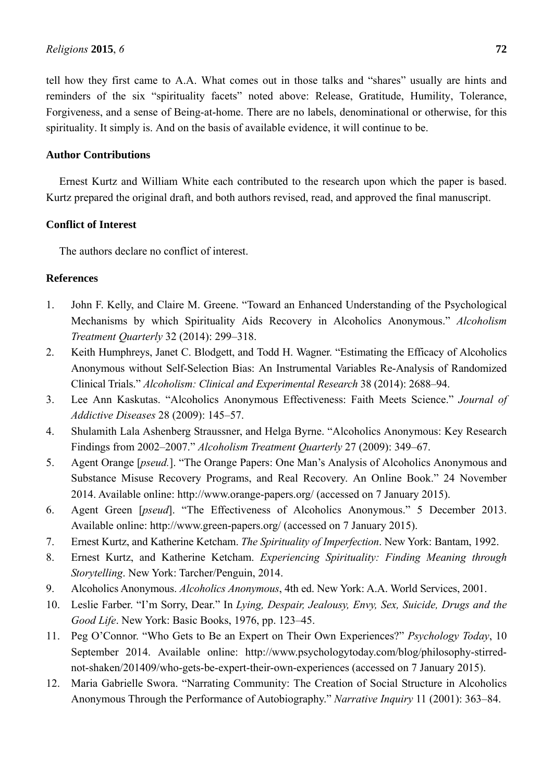tell how they first came to A.A. What comes out in those talks and "shares" usually are hints and reminders of the six "spirituality facets" noted above: Release, Gratitude, Humility, Tolerance, Forgiveness, and a sense of Being-at-home. There are no labels, denominational or otherwise, for this spirituality. It simply is. And on the basis of available evidence, it will continue to be.

# **Author Contributions**

Ernest Kurtz and William White each contributed to the research upon which the paper is based. Kurtz prepared the original draft, and both authors revised, read, and approved the final manuscript.

# **Conflict of Interest**

The authors declare no conflict of interest.

# **References**

- 1. John F. Kelly, and Claire M. Greene. "Toward an Enhanced Understanding of the Psychological Mechanisms by which Spirituality Aids Recovery in Alcoholics Anonymous." *Alcoholism Treatment Quarterly* 32 (2014): 299–318.
- 2. Keith Humphreys, Janet C. Blodgett, and Todd H. Wagner. "Estimating the Efficacy of Alcoholics Anonymous without Self-Selection Bias: An Instrumental Variables Re-Analysis of Randomized Clinical Trials." *Alcoholism: Clinical and Experimental Research* 38 (2014): 2688–94.
- 3. Lee Ann Kaskutas. "Alcoholics Anonymous Effectiveness: Faith Meets Science." *Journal of Addictive Diseases* 28 (2009): 145–57.
- 4. Shulamith Lala Ashenberg Straussner, and Helga Byrne. "Alcoholics Anonymous: Key Research Findings from 2002–2007." *Alcoholism Treatment Quarterly* 27 (2009): 349–67.
- 5. Agent Orange [*pseud.*]. "The Orange Papers: One Man's Analysis of Alcoholics Anonymous and Substance Misuse Recovery Programs, and Real Recovery. An Online Book." 24 November 2014. Available online: http://www.orange-papers.org/ (accessed on 7 January 2015).
- 6. Agent Green [*pseud*]. "The Effectiveness of Alcoholics Anonymous." 5 December 2013. Available online: http://www.green-papers.org/ (accessed on 7 January 2015).
- 7. Ernest Kurtz, and Katherine Ketcham. *The Spirituality of Imperfection*. New York: Bantam, 1992.
- 8. Ernest Kurtz, and Katherine Ketcham. *Experiencing Spirituality: Finding Meaning through Storytelling*. New York: Tarcher/Penguin, 2014.
- 9. Alcoholics Anonymous. *Alcoholics Anonymous*, 4th ed. New York: A.A. World Services, 2001.
- 10. Leslie Farber. "I'm Sorry, Dear." In *Lying, Despair, Jealousy, Envy, Sex, Suicide, Drugs and the Good Life*. New York: Basic Books, 1976, pp. 123–45.
- 11. Peg O'Connor. "Who Gets to Be an Expert on Their Own Experiences?" *Psychology Today*, 10 September 2014. Available online: http://www.psychologytoday.com/blog/philosophy-stirrednot-shaken/201409/who-gets-be-expert-their-own-experiences (accessed on 7 January 2015).
- 12. Maria Gabrielle Swora. "Narrating Community: The Creation of Social Structure in Alcoholics Anonymous Through the Performance of Autobiography." *Narrative Inquiry* 11 (2001): 363–84.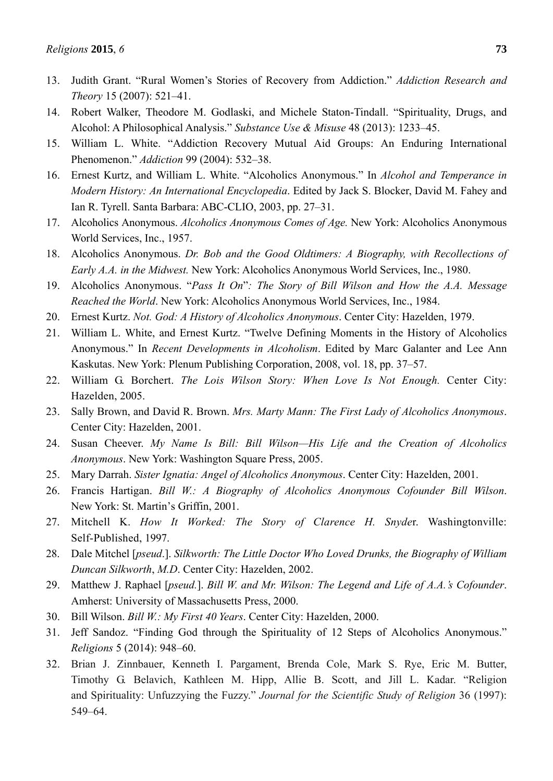- 13. Judith Grant. "Rural Women's Stories of Recovery from Addiction." *Addiction Research and Theory* 15 (2007): 521–41.
- 14. Robert Walker, Theodore M. Godlaski, and Michele Staton-Tindall. "Spirituality, Drugs, and Alcohol: A Philosophical Analysis." *Substance Use & Misuse* 48 (2013): 1233–45.
- 15. William L. White. "Addiction Recovery Mutual Aid Groups: An Enduring International Phenomenon." *Addiction* 99 (2004): 532–38.
- 16. Ernest Kurtz, and William L. White. "Alcoholics Anonymous." In *Alcohol and Temperance in Modern History: An International Encyclopedia*. Edited by Jack S. Blocker, David M. Fahey and Ian R. Tyrell. Santa Barbara: ABC-CLIO, 2003, pp. 27–31.
- 17. Alcoholics Anonymous. *Alcoholics Anonymous Comes of Age.* New York: Alcoholics Anonymous World Services, Inc., 1957.
- 18. Alcoholics Anonymous. *Dr. Bob and the Good Oldtimers: A Biography, with Recollections of Early A.A. in the Midwest.* New York: Alcoholics Anonymous World Services, Inc., 1980.
- 19. Alcoholics Anonymous. "*Pass It On*"*: The Story of Bill Wilson and How the A.A. Message Reached the World*. New York: Alcoholics Anonymous World Services, Inc., 1984.
- 20. Ernest Kurtz. *Not. God: A History of Alcoholics Anonymous*. Center City: Hazelden, 1979.
- 21. William L. White, and Ernest Kurtz. "Twelve Defining Moments in the History of Alcoholics Anonymous." In *Recent Developments in Alcoholism*. Edited by Marc Galanter and Lee Ann Kaskutas. New York: Plenum Publishing Corporation, 2008, vol. 18, pp. 37–57.
- 22. William G. Borchert. *The Lois Wilson Story: When Love Is Not Enough.* Center City: Hazelden, 2005.
- 23. Sally Brown, and David R. Brown. *Mrs. Marty Mann: The First Lady of Alcoholics Anonymous*. Center City: Hazelden, 2001.
- 24. Susan Cheever. *My Name Is Bill: Bill Wilson—His Life and the Creation of Alcoholics Anonymous*. New York: Washington Square Press, 2005.
- 25. Mary Darrah. *Sister Ignatia: Angel of Alcoholics Anonymous*. Center City: Hazelden, 2001.
- 26. Francis Hartigan. *Bill W.: A Biography of Alcoholics Anonymous Cofounder Bill Wilson*. New York: St. Martin's Griffin, 2001.
- 27. Mitchell K. *How It Worked: The Story of Clarence H. Snyde*r. Washingtonville: Self-Published, 1997.
- 28. Dale Mitchel [*pseud*.]. *Silkworth: The Little Doctor Who Loved Drunks, the Biography of William Duncan Silkworth*, *M.D*. Center City: Hazelden, 2002.
- 29. Matthew J. Raphael [*pseud.*]. *Bill W. and Mr. Wilson: The Legend and Life of A.A.'s Cofounder*. Amherst: University of Massachusetts Press, 2000.
- 30. Bill Wilson. *Bill W.: My First 40 Years*. Center City: Hazelden, 2000.
- 31. Jeff Sandoz. "Finding God through the Spirituality of 12 Steps of Alcoholics Anonymous." *Religions* 5 (2014): 948–60.
- 32. Brian J. Zinnbauer, Kenneth I. Pargament, Brenda Cole, Mark S. Rye, Eric M. Butter, Timothy G. Belavich, Kathleen M. Hipp, Allie B. Scott, and Jill L. Kadar. "Religion and Spirituality: Unfuzzying the Fuzzy." *Journal for the Scientific Study of Religion* 36 (1997): 549–64.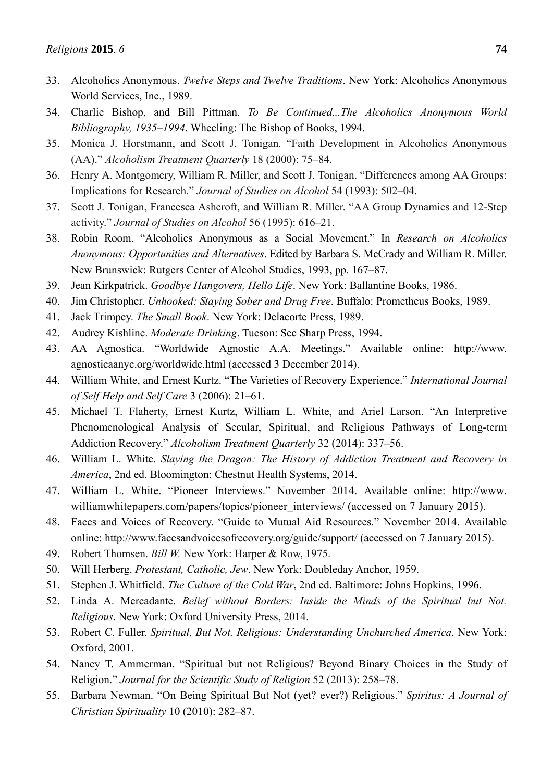- 33. Alcoholics Anonymous. *Twelve Steps and Twelve Traditions*. New York: Alcoholics Anonymous World Services, Inc., 1989.
- 34. Charlie Bishop, and Bill Pittman. *To Be Continued...The Alcoholics Anonymous World Bibliography, 1935–1994*. Wheeling: The Bishop of Books, 1994.
- 35. Monica J. Horstmann, and Scott J. Tonigan. "Faith Development in Alcoholics Anonymous (AA)." *Alcoholism Treatment Quarterly* 18 (2000): 75–84.
- 36. Henry A. Montgomery, William R. Miller, and Scott J. Tonigan. "Differences among AA Groups: Implications for Research." *Journal of Studies on Alcohol* 54 (1993): 502–04.
- 37. Scott J. Tonigan, Francesca Ashcroft, and William R. Miller. "AA Group Dynamics and 12-Step activity." *Journal of Studies on Alcohol* 56 (1995): 616–21.
- 38. Robin Room. "Alcoholics Anonymous as a Social Movement." In *Research on Alcoholics Anonymous: Opportunities and Alternatives*. Edited by Barbara S. McCrady and William R. Miller. New Brunswick: Rutgers Center of Alcohol Studies, 1993, pp. 167–87.
- 39. Jean Kirkpatrick. *Goodbye Hangovers, Hello Life*. New York: Ballantine Books, 1986.
- 40. Jim Christopher. *Unhooked: Staying Sober and Drug Free*. Buffalo: Prometheus Books, 1989.
- 41. Jack Trimpey. *The Small Book*. New York: Delacorte Press, 1989.
- 42. Audrey Kishline. *Moderate Drinking*. Tucson: See Sharp Press, 1994.
- 43. AA Agnostica. "Worldwide Agnostic A.A. Meetings." Available online: http://www. agnosticaanyc.org/worldwide.html (accessed 3 December 2014).
- 44. William White, and Ernest Kurtz. "The Varieties of Recovery Experience." *International Journal of Self Help and Self Care* 3 (2006): 21–61.
- 45. Michael T. Flaherty, Ernest Kurtz, William L. White, and Ariel Larson. "An Interpretive Phenomenological Analysis of Secular, Spiritual, and Religious Pathways of Long-term Addiction Recovery." *Alcoholism Treatment Quarterly* 32 (2014): 337–56.
- 46. William L. White. *Slaying the Dragon: The History of Addiction Treatment and Recovery in America*, 2nd ed. Bloomington: Chestnut Health Systems, 2014.
- 47. William L. White. "Pioneer Interviews." November 2014. Available online: http://www. williamwhitepapers.com/papers/topics/pioneer\_interviews/ (accessed on 7 January 2015).
- 48. Faces and Voices of Recovery. "Guide to Mutual Aid Resources." November 2014. Available online: http://www.facesandvoicesofrecovery.org/guide/support/ (accessed on 7 January 2015).
- 49. Robert Thomsen. *Bill W.* New York: Harper & Row, 1975.
- 50. Will Herberg. *Protestant, Catholic, Jew*. New York: Doubleday Anchor, 1959.
- 51. Stephen J. Whitfield. *The Culture of the Cold War*, 2nd ed. Baltimore: Johns Hopkins, 1996.
- 52. Linda A. Mercadante. *Belief without Borders: Inside the Minds of the Spiritual but Not. Religious*. New York: Oxford University Press, 2014.
- 53. Robert C. Fuller. *Spiritual, But Not. Religious: Understanding Unchurched America*. New York: Oxford, 2001.
- 54. Nancy T. Ammerman. "Spiritual but not Religious? Beyond Binary Choices in the Study of Religion." *Journal for the Scientific Study of Religion* 52 (2013): 258–78.
- 55. Barbara Newman. "On Being Spiritual But Not (yet? ever?) Religious." *Spiritus: A Journal of Christian Spirituality* 10 (2010): 282–87.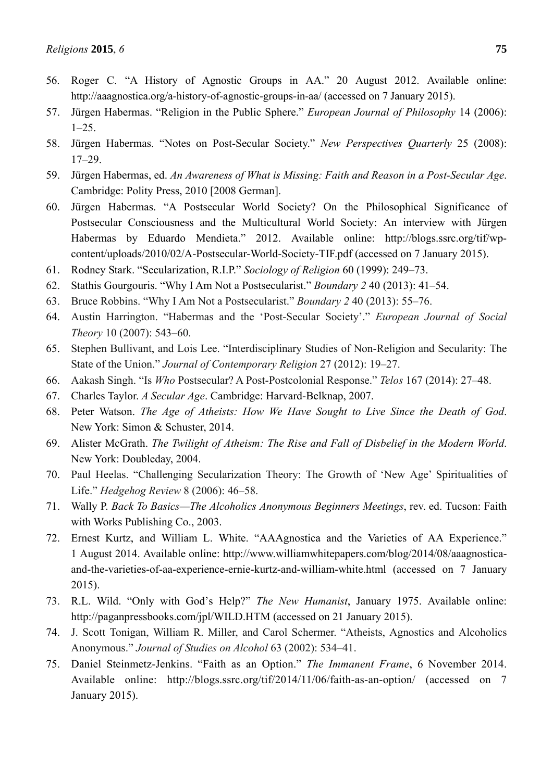- 56. Roger C. "A History of Agnostic Groups in AA." 20 August 2012. Available online: http://aaagnostica.org/a-history-of-agnostic-groups-in-aa/ (accessed on 7 January 2015).
- 57. Jürgen Habermas. "Religion in the Public Sphere." *European Journal of Philosophy* 14 (2006):  $1-25$ .
- 58. Jürgen Habermas. "Notes on Post-Secular Society." *New Perspectives Quarterly* 25 (2008): 17–29.
- 59. Jürgen Habermas, ed. *An Awareness of What is Missing: Faith and Reason in a Post-Secular Age*. Cambridge: Polity Press, 2010 [2008 German].
- 60. Jürgen Habermas. "A Postsecular World Society? On the Philosophical Significance of Postsecular Consciousness and the Multicultural World Society: An interview with Jürgen Habermas by Eduardo Mendieta." 2012. Available online: http://blogs.ssrc.org/tif/wpcontent/uploads/2010/02/A-Postsecular-World-Society-TIF.pdf (accessed on 7 January 2015).
- 61. Rodney Stark. "Secularization, R.I.P." *Sociology of Religion* 60 (1999): 249–73.
- 62. Stathis Gourgouris. "Why I Am Not a Postsecularist." *Boundary 2* 40 (2013): 41–54.
- 63. Bruce Robbins. "Why I Am Not a Postsecularist." *Boundary 2* 40 (2013): 55–76.
- 64. Austin Harrington. "Habermas and the 'Post-Secular Society'." *European Journal of Social Theory* 10 (2007): 543–60.
- 65. Stephen Bullivant, and Lois Lee. "Interdisciplinary Studies of Non-Religion and Secularity: The State of the Union." *Journal of Contemporary Religion* 27 (2012): 19–27.
- 66. Aakash Singh. "Is *Who* Postsecular? A Post-Postcolonial Response." *Telos* 167 (2014): 27–48.
- 67. Charles Taylor. *A Secular Age*. Cambridge: Harvard-Belknap, 2007.
- 68. Peter Watson. *The Age of Atheists: How We Have Sought to Live Since the Death of God*. New York: Simon & Schuster, 2014.
- 69. Alister McGrath. *The Twilight of Atheism: The Rise and Fall of Disbelief in the Modern World*. New York: Doubleday, 2004.
- 70. Paul Heelas. "Challenging Secularization Theory: The Growth of 'New Age' Spiritualities of Life." *Hedgehog Review* 8 (2006): 46–58.
- 71. Wally P. *Back To Basics—The Alcoholics Anonymous Beginners Meetings*, rev. ed. Tucson: Faith with Works Publishing Co., 2003.
- 72. Ernest Kurtz, and William L. White. "AAAgnostica and the Varieties of AA Experience." 1 August 2014. Available online: http://www.williamwhitepapers.com/blog/2014/08/aaagnosticaand-the-varieties-of-aa-experience-ernie-kurtz-and-william-white.html (accessed on 7 January 2015).
- 73. R.L. Wild. "Only with God's Help?" *The New Humanist*, January 1975. Available online: http://paganpressbooks.com/jpl/WILD.HTM (accessed on 21 January 2015).
- 74. J. Scott Tonigan, William R. Miller, and Carol Schermer. "Atheists, Agnostics and Alcoholics Anonymous." *Journal of Studies on Alcohol* 63 (2002): 534–41.
- 75. Daniel Steinmetz-Jenkins. "Faith as an Option." *The Immanent Frame*, 6 November 2014. Available online: http://blogs.ssrc.org/tif/2014/11/06/faith-as-an-option/ (accessed on 7 January 2015).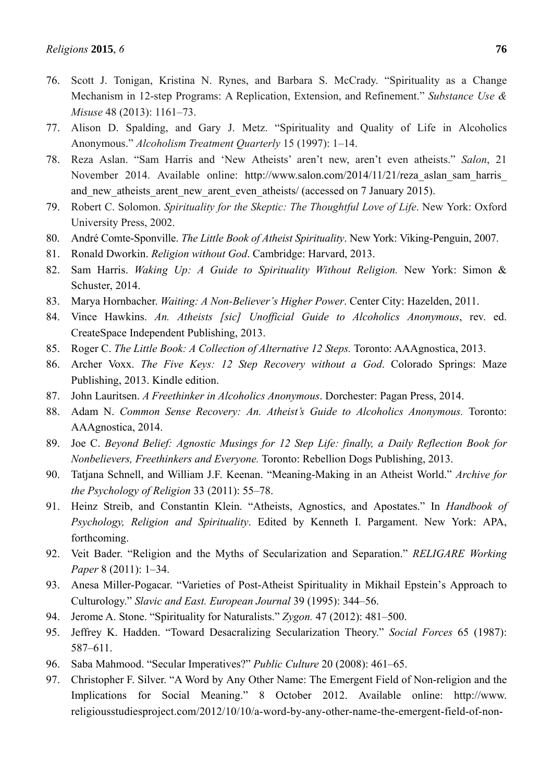- 76. Scott J. Tonigan, Kristina N. Rynes, and Barbara S. McCrady. "Spirituality as a Change Mechanism in 12-step Programs: A Replication, Extension, and Refinement." *Substance Use & Misuse* 48 (2013): 1161–73.
- 77. Alison D. Spalding, and Gary J. Metz. "Spirituality and Quality of Life in Alcoholics Anonymous." *Alcoholism Treatment Quarterly* 15 (1997): 1–14.
- 78. Reza Aslan. "Sam Harris and 'New Atheists' aren't new, aren't even atheists." *Salon*, 21 November 2014. Available online: http://www.salon.com/2014/11/21/reza\_aslan\_sam\_harris\_ and new atheists arent new arent even atheists/ (accessed on 7 January 2015).
- 79. Robert C. Solomon. *Spirituality for the Skeptic: The Thoughtful Love of Life*. New York: Oxford University Press, 2002.
- 80. André Comte-Sponville. *The Little Book of Atheist Spirituality*. New York: Viking-Penguin, 2007.
- 81. Ronald Dworkin. *Religion without God*. Cambridge: Harvard, 2013.
- 82. Sam Harris. *Waking Up: A Guide to Spirituality Without Religion.* New York: Simon & Schuster, 2014.
- 83. Marya Hornbacher. *Waiting: A Non-Believer's Higher Power*. Center City: Hazelden, 2011.
- 84. Vince Hawkins. *An. Atheists [sic] Unofficial Guide to Alcoholics Anonymous*, rev. ed. CreateSpace Independent Publishing, 2013.
- 85. Roger C. *The Little Book: A Collection of Alternative 12 Steps.* Toronto: AAAgnostica, 2013.
- 86. Archer Voxx. *The Five Keys: 12 Step Recovery without a God*. Colorado Springs: Maze Publishing, 2013. Kindle edition.
- 87. John Lauritsen. *A Freethinker in Alcoholics Anonymous*. Dorchester: Pagan Press, 2014.
- 88. Adam N. *Common Sense Recovery: An. Atheist's Guide to Alcoholics Anonymous.* Toronto: AAAgnostica, 2014.
- 89. Joe C. *Beyond Belief: Agnostic Musings for 12 Step Life: finally, a Daily Reflection Book for Nonbelievers, Freethinkers and Everyone.* Toronto: Rebellion Dogs Publishing, 2013.
- 90. Tatjana Schnell, and William J.F. Keenan. "Meaning-Making in an Atheist World." *Archive for the Psychology of Religion* 33 (2011): 55–78.
- 91. Heinz Streib, and Constantin Klein. "Atheists, Agnostics, and Apostates." In *Handbook of Psychology, Religion and Spirituality*. Edited by Kenneth I. Pargament. New York: APA, forthcoming.
- 92. Veit Bader. "Religion and the Myths of Secularization and Separation." *RELIGARE Working Paper* 8 (2011): 1–34.
- 93. Anesa Miller-Pogacar. "Varieties of Post-Atheist Spirituality in Mikhail Epstein's Approach to Culturology." *Slavic and East. European Journal* 39 (1995): 344–56.
- 94. Jerome A. Stone. "Spirituality for Naturalists." *Zygon.* 47 (2012): 481–500.
- 95. Jeffrey K. Hadden. "Toward Desacralizing Secularization Theory." *Social Forces* 65 (1987): 587–611.
- 96. Saba Mahmood. "Secular Imperatives?" *Public Culture* 20 (2008): 461–65.
- 97. Christopher F. Silver. "A Word by Any Other Name: The Emergent Field of Non-religion and the Implications for Social Meaning." 8 October 2012. Available online: http://www. religiousstudiesproject.com/2012/10/10/a-word-by-any-other-name-the-emergent-field-of-non-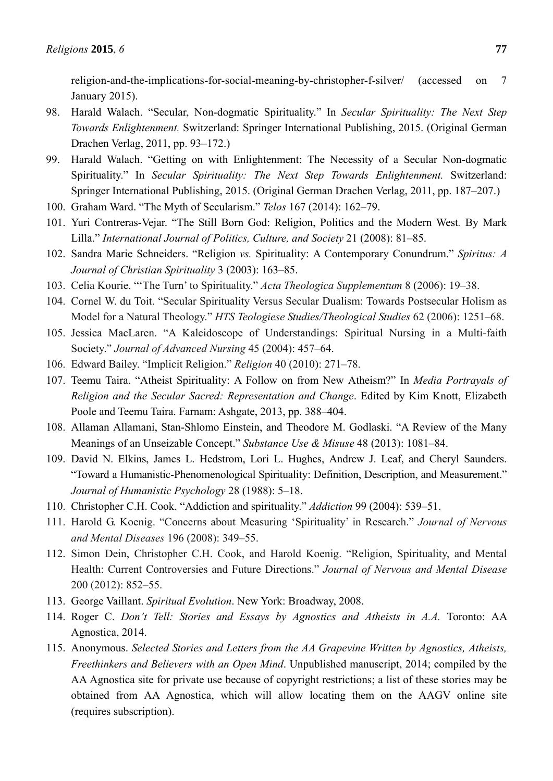religion-and-the-implications-for-social-meaning-by-christopher-f-silver/ (accessed on 7 January 2015).

- 98. Harald Walach. "Secular, Non-dogmatic Spirituality." In *Secular Spirituality: The Next Step Towards Enlightenment.* Switzerland: Springer International Publishing, 2015. (Original German Drachen Verlag, 2011, pp. 93–172.)
- 99. Harald Walach. "Getting on with Enlightenment: The Necessity of a Secular Non-dogmatic Spirituality." In *Secular Spirituality: The Next Step Towards Enlightenment.* Switzerland: Springer International Publishing, 2015. (Original German Drachen Verlag, 2011, pp. 187–207.)
- 100. Graham Ward. "The Myth of Secularism." *Telos* 167 (2014): 162–79.
- 101. Yuri Contreras-Vejar. "The Still Born God: Religion, Politics and the Modern West*.* By Mark Lilla." *International Journal of Politics, Culture, and Society* 21 (2008): 81–85.
- 102. Sandra Marie Schneiders. "Religion *vs.* Spirituality: A Contemporary Conundrum." *Spiritus: A Journal of Christian Spirituality* 3 (2003): 163–85.
- 103. Celia Kourie. "'The Turn' to Spirituality." *Acta Theologica Supplementum* 8 (2006): 19–38.
- 104. Cornel W. du Toit. "Secular Spirituality Versus Secular Dualism: Towards Postsecular Holism as Model for a Natural Theology." *HTS Teologiese Studies/Theological Studies* 62 (2006): 1251–68.
- 105. Jessica MacLaren. "A Kaleidoscope of Understandings: Spiritual Nursing in a Multi-faith Society." *Journal of Advanced Nursing* 45 (2004): 457–64.
- 106. Edward Bailey. "Implicit Religion." *Religion* 40 (2010): 271–78.
- 107. Teemu Taira. "Atheist Spirituality: A Follow on from New Atheism?" In *Media Portrayals of Religion and the Secular Sacred: Representation and Change*. Edited by Kim Knott, Elizabeth Poole and Teemu Taira. Farnam: Ashgate, 2013, pp. 388–404.
- 108. Allaman Allamani, Stan-Shlomo Einstein, and Theodore M. Godlaski. "A Review of the Many Meanings of an Unseizable Concept." *Substance Use & Misuse* 48 (2013): 1081–84.
- 109. David N. Elkins, James L. Hedstrom, Lori L. Hughes, Andrew J. Leaf, and Cheryl Saunders. "Toward a Humanistic-Phenomenological Spirituality: Definition, Description, and Measurement." *Journal of Humanistic Psychology* 28 (1988): 5–18.
- 110. Christopher C.H. Cook. "Addiction and spirituality." *Addiction* 99 (2004): 539–51.
- 111. Harold G. Koenig. "Concerns about Measuring 'Spirituality' in Research." *Journal of Nervous and Mental Diseases* 196 (2008): 349–55.
- 112. Simon Dein, Christopher C.H. Cook, and Harold Koenig. "Religion, Spirituality, and Mental Health: Current Controversies and Future Directions." *Journal of Nervous and Mental Disease* 200 (2012): 852–55.
- 113. George Vaillant. *Spiritual Evolution*. New York: Broadway, 2008.
- 114. Roger C. *Don't Tell: Stories and Essays by Agnostics and Atheists in A.A.* Toronto: AA Agnostica, 2014.
- 115. Anonymous. *Selected Stories and Letters from the AA Grapevine Written by Agnostics, Atheists, Freethinkers and Believers with an Open Mind*. Unpublished manuscript, 2014; compiled by the AA Agnostica site for private use because of copyright restrictions; a list of these stories may be obtained from AA Agnostica, which will allow locating them on the AAGV online site (requires subscription).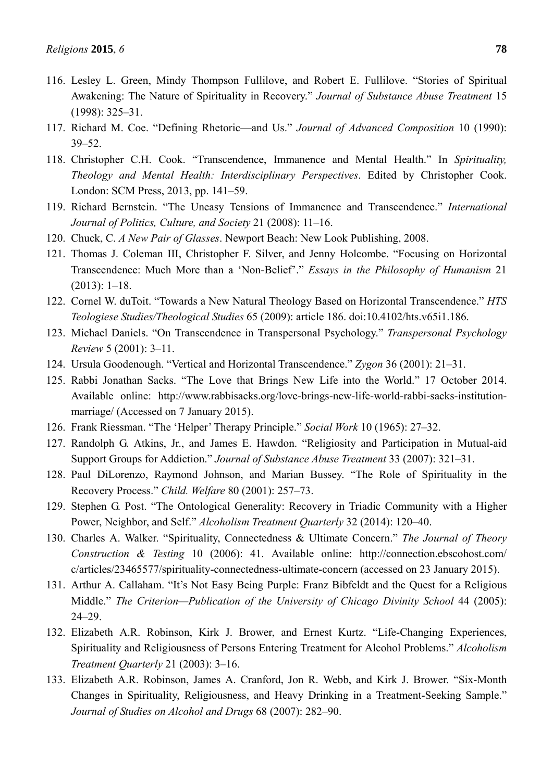- 116. Lesley L. Green, Mindy Thompson Fullilove, and Robert E. Fullilove. "Stories of Spiritual Awakening: The Nature of Spirituality in Recovery." *Journal of Substance Abuse Treatment* 15 (1998): 325–31.
- 117. Richard M. Coe. "Defining Rhetoric—and Us." *Journal of Advanced Composition* 10 (1990): 39–52.
- 118. Christopher C.H. Cook. "Transcendence, Immanence and Mental Health." In *Spirituality, Theology and Mental Health: Interdisciplinary Perspectives*. Edited by Christopher Cook. London: SCM Press, 2013, pp. 141–59.
- 119. Richard Bernstein. "The Uneasy Tensions of Immanence and Transcendence." *International Journal of Politics, Culture, and Society* 21 (2008): 11–16.
- 120. Chuck, C. *A New Pair of Glasses*. Newport Beach: New Look Publishing, 2008.
- 121. Thomas J. Coleman III, Christopher F. Silver, and Jenny Holcombe. "Focusing on Horizontal Transcendence: Much More than a 'Non-Belief'." *Essays in the Philosophy of Humanism* 21 (2013): 1–18.
- 122. Cornel W. duToit. "Towards a New Natural Theology Based on Horizontal Transcendence." *HTS Teologiese Studies/Theological Studies* 65 (2009): article 186. doi:10.4102/hts.v65i1.186.
- 123. Michael Daniels. "On Transcendence in Transpersonal Psychology." *Transpersonal Psychology Review* 5 (2001): 3–11.
- 124. Ursula Goodenough. "Vertical and Horizontal Transcendence." *Zygon* 36 (2001): 21–31.
- 125. Rabbi Jonathan Sacks. "The Love that Brings New Life into the World." 17 October 2014. Available online: http://www.rabbisacks.org/love-brings-new-life-world-rabbi-sacks-institutionmarriage/ (Accessed on 7 January 2015).
- 126. Frank Riessman. "The 'Helper' Therapy Principle." *Social Work* 10 (1965): 27–32.
- 127. Randolph G. Atkins, Jr., and James E. Hawdon. "Religiosity and Participation in Mutual-aid Support Groups for Addiction." *Journal of Substance Abuse Treatment* 33 (2007): 321–31.
- 128. Paul DiLorenzo, Raymond Johnson, and Marian Bussey. "The Role of Spirituality in the Recovery Process." *Child. Welfare* 80 (2001): 257–73.
- 129. Stephen G. Post. "The Ontological Generality: Recovery in Triadic Community with a Higher Power, Neighbor, and Self." *Alcoholism Treatment Quarterly* 32 (2014): 120–40.
- 130. Charles A. Walker. "Spirituality, Connectedness & Ultimate Concern." *The Journal of Theory Construction & Testing* 10 (2006): 41. Available online: http://connection.ebscohost.com/ c/articles/23465577/spirituality-connectedness-ultimate-concern (accessed on 23 January 2015).
- 131. Arthur A. Callaham. "It's Not Easy Being Purple: Franz Bibfeldt and the Quest for a Religious Middle." *The Criterion—Publication of the University of Chicago Divinity School* 44 (2005): 24–29.
- 132. Elizabeth A.R. Robinson, Kirk J. Brower, and Ernest Kurtz. "Life-Changing Experiences, Spirituality and Religiousness of Persons Entering Treatment for Alcohol Problems." *Alcoholism Treatment Quarterly* 21 (2003): 3–16.
- 133. Elizabeth A.R. Robinson, James A. Cranford, Jon R. Webb, and Kirk J. Brower. "Six-Month Changes in Spirituality, Religiousness, and Heavy Drinking in a Treatment-Seeking Sample." *Journal of Studies on Alcohol and Drugs* 68 (2007): 282–90.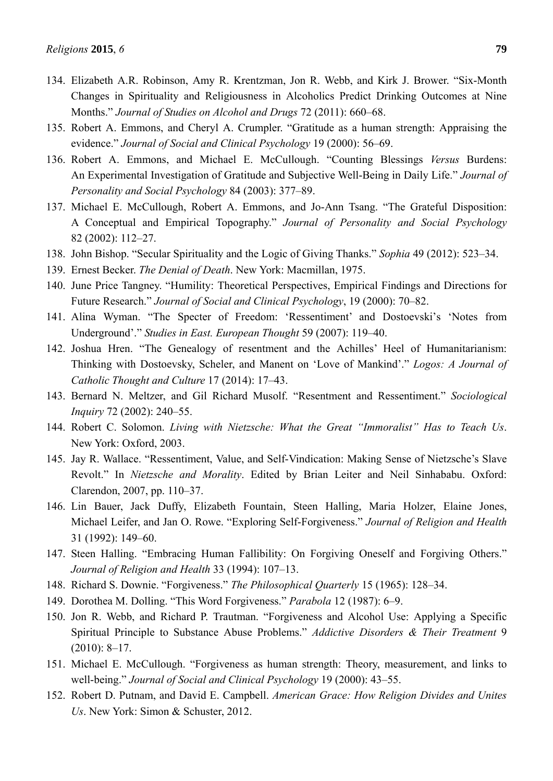- 134. Elizabeth A.R. Robinson, Amy R. Krentzman, Jon R. Webb, and Kirk J. Brower. "Six-Month Changes in Spirituality and Religiousness in Alcoholics Predict Drinking Outcomes at Nine Months." *Journal of Studies on Alcohol and Drugs* 72 (2011): 660–68.
- 135. Robert A. Emmons, and Cheryl A. Crumpler. "Gratitude as a human strength: Appraising the evidence." *Journal of Social and Clinical Psychology* 19 (2000): 56–69.
- 136. Robert A. Emmons, and Michael E. McCullough. "Counting Blessings *Versus* Burdens: An Experimental Investigation of Gratitude and Subjective Well-Being in Daily Life." *Journal of Personality and Social Psychology* 84 (2003): 377–89.
- 137. Michael E. McCullough, Robert A. Emmons, and Jo-Ann Tsang. "The Grateful Disposition: A Conceptual and Empirical Topography." *Journal of Personality and Social Psychology* 82 (2002): 112–27.
- 138. John Bishop. "Secular Spirituality and the Logic of Giving Thanks." *Sophia* 49 (2012): 523–34.
- 139. Ernest Becker. *The Denial of Death*. New York: Macmillan, 1975.
- 140. June Price Tangney. "Humility: Theoretical Perspectives, Empirical Findings and Directions for Future Research." *Journal of Social and Clinical Psychology*, 19 (2000): 70–82.
- 141. Alina Wyman. "The Specter of Freedom: 'Ressentiment' and Dostoevski's 'Notes from Underground'." *Studies in East. European Thought* 59 (2007): 119–40.
- 142. Joshua Hren. "The Genealogy of resentment and the Achilles' Heel of Humanitarianism: Thinking with Dostoevsky, Scheler, and Manent on 'Love of Mankind'." *Logos: A Journal of Catholic Thought and Culture* 17 (2014): 17–43.
- 143. Bernard N. Meltzer, and Gil Richard Musolf. "Resentment and Ressentiment." *Sociological Inquiry* 72 (2002): 240–55.
- 144. Robert C. Solomon. *Living with Nietzsche: What the Great "Immoralist" Has to Teach Us*. New York: Oxford, 2003.
- 145. Jay R. Wallace. "Ressentiment, Value, and Self-Vindication: Making Sense of Nietzsche's Slave Revolt." In *Nietzsche and Morality*. Edited by Brian Leiter and Neil Sinhababu. Oxford: Clarendon, 2007, pp. 110–37.
- 146. Lin Bauer, Jack Duffy, Elizabeth Fountain, Steen Halling, Maria Holzer, Elaine Jones, Michael Leifer, and Jan O. Rowe. "Exploring Self-Forgiveness." *Journal of Religion and Health* 31 (1992): 149–60.
- 147. Steen Halling. "Embracing Human Fallibility: On Forgiving Oneself and Forgiving Others." *Journal of Religion and Health* 33 (1994): 107–13.
- 148. Richard S. Downie. "Forgiveness." *The Philosophical Quarterly* 15 (1965): 128–34.
- 149. Dorothea M. Dolling. "This Word Forgiveness." *Parabola* 12 (1987): 6–9.
- 150. Jon R. Webb, and Richard P. Trautman. "Forgiveness and Alcohol Use: Applying a Specific Spiritual Principle to Substance Abuse Problems." *Addictive Disorders & Their Treatment* 9 (2010): 8–17.
- 151. Michael E. McCullough. "Forgiveness as human strength: Theory, measurement, and links to well-being." *Journal of Social and Clinical Psychology* 19 (2000): 43–55.
- 152. Robert D. Putnam, and David E. Campbell. *American Grace: How Religion Divides and Unites Us*. New York: Simon & Schuster, 2012.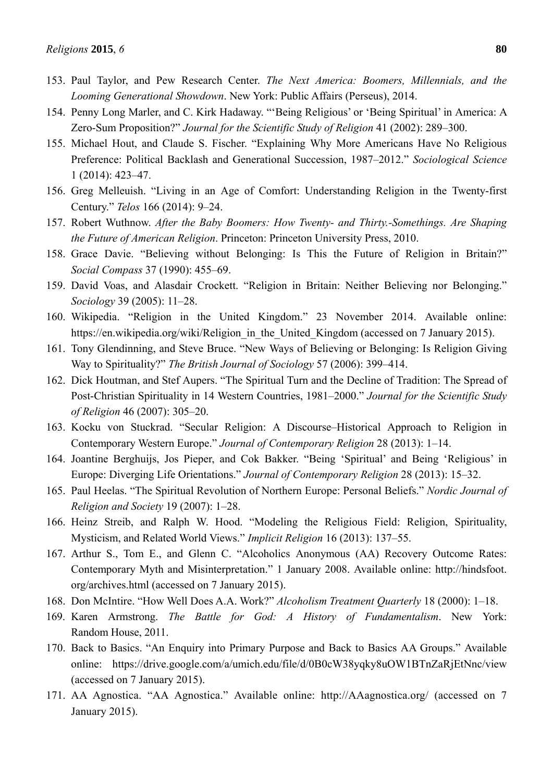- 154. Penny Long Marler, and C. Kirk Hadaway. "'Being Religious' or 'Being Spiritual' in America: A Zero-Sum Proposition?" *Journal for the Scientific Study of Religion* 41 (2002): 289–300.
- 155. Michael Hout, and Claude S. Fischer. "Explaining Why More Americans Have No Religious Preference: Political Backlash and Generational Succession, 1987–2012." *Sociological Science* 1 (2014): 423–47.
- 156. Greg Melleuish. "Living in an Age of Comfort: Understanding Religion in the Twenty-first Century." *Telos* 166 (2014): 9–24.
- 157. Robert Wuthnow. *After the Baby Boomers: How Twenty- and Thirty.-Somethings. Are Shaping the Future of American Religion*. Princeton: Princeton University Press, 2010.
- 158. Grace Davie. "Believing without Belonging: Is This the Future of Religion in Britain?" *Social Compass* 37 (1990): 455–69.
- 159. David Voas, and Alasdair Crockett. "Religion in Britain: Neither Believing nor Belonging." *Sociology* 39 (2005): 11–28.
- 160. Wikipedia. "Religion in the United Kingdom." 23 November 2014. Available online: https://en.wikipedia.org/wiki/Religion\_in\_the\_United\_Kingdom (accessed on 7 January 2015).
- 161. Tony Glendinning, and Steve Bruce. "New Ways of Believing or Belonging: Is Religion Giving Way to Spirituality?" *The British Journal of Sociology* 57 (2006): 399–414.
- 162. Dick Houtman, and Stef Aupers. "The Spiritual Turn and the Decline of Tradition: The Spread of Post-Christian Spirituality in 14 Western Countries, 1981–2000." *Journal for the Scientific Study of Religion* 46 (2007): 305–20.
- 163. Kocku von Stuckrad. "Secular Religion: A Discourse–Historical Approach to Religion in Contemporary Western Europe." *Journal of Contemporary Religion* 28 (2013): 1–14.
- 164. Joantine Berghuijs, Jos Pieper, and Cok Bakker. "Being 'Spiritual' and Being 'Religious' in Europe: Diverging Life Orientations." *Journal of Contemporary Religion* 28 (2013): 15–32.
- 165. Paul Heelas. "The Spiritual Revolution of Northern Europe: Personal Beliefs." *Nordic Journal of Religion and Society* 19 (2007): 1–28.
- 166. Heinz Streib, and Ralph W. Hood. "Modeling the Religious Field: Religion, Spirituality, Mysticism, and Related World Views." *Implicit Religion* 16 (2013): 137–55.
- 167. Arthur S., Tom E., and Glenn C. "Alcoholics Anonymous (AA) Recovery Outcome Rates: Contemporary Myth and Misinterpretation." 1 January 2008. Available online: http://hindsfoot. org/archives.html (accessed on 7 January 2015).
- 168. Don McIntire. "How Well Does A.A. Work?" *Alcoholism Treatment Quarterly* 18 (2000): 1–18.
- 169. Karen Armstrong. *The Battle for God: A History of Fundamentalism*. New York: Random House, 2011.
- 170. Back to Basics. "An Enquiry into Primary Purpose and Back to Basics AA Groups." Available online: https://drive.google.com/a/umich.edu/file/d/0B0cW38yqky8uOW1BTnZaRjEtNnc/view (accessed on 7 January 2015).
- 171. AA Agnostica. "AA Agnostica." Available online: http://AAagnostica.org/ (accessed on 7 January 2015).